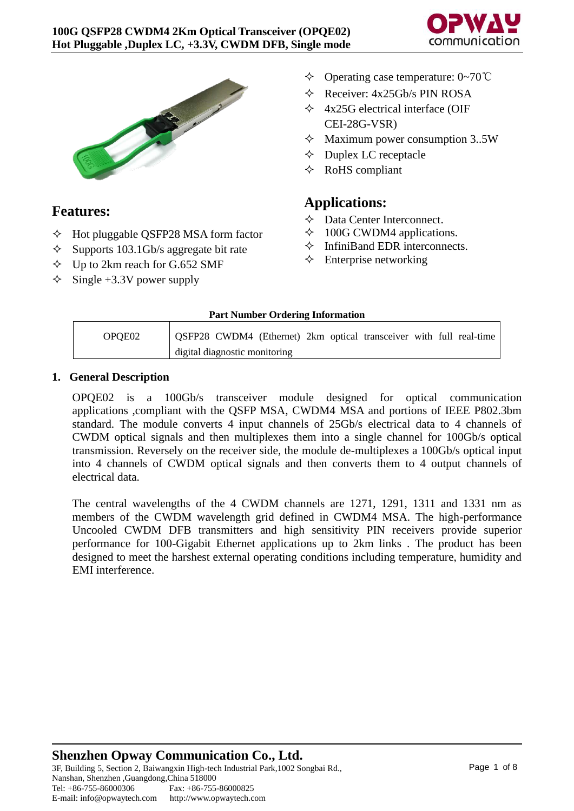



# **Features:**

- $\Diamond$  Hot pluggable QSFP28 MSA form factor
- $\Diamond$  Supports 103.1Gb/s aggregate bit rate
- $\div$  Up to 2km reach for G.652 SMF
- $\div$  Single +3.3V power supply
- Operating case temperature: 0~70℃
- $\Diamond$  Receiver: 4x25Gb/s PIN ROSA
- $\triangle$  4x25G electrical interface (OIF CEI-28G-VSR)
- $\Diamond$  Maximum power consumption 3..5W
- $\Diamond$  Duplex LC receptacle
- $\Diamond$  RoHS compliant

# **Applications:**

- Data Center Interconnect.
- $\div$  100G CWDM4 applications.
- $\Diamond$  InfiniBand EDR interconnects.
- $\Diamond$  Enterprise networking

### **Part Number Ordering Information**

| OPOE02 | OSFP28 CWDM4 (Ethernet) 2km optical transceiver with full real-time |
|--------|---------------------------------------------------------------------|
|        | digital diagnostic monitoring                                       |

### **1. General Description**

OPQE02 is a 100Gb/s transceiver module designed for optical communication applications ,compliant with the QSFP MSA, CWDM4 MSA and portions of IEEE P802.3bm standard. The module converts 4 input channels of 25Gb/s electrical data to 4 channels of CWDM optical signals and then multiplexes them into a single channel for 100Gb/s optical transmission. Reversely on the receiver side, the module de-multiplexes a 100Gb/s optical input into 4 channels of CWDM optical signals and then converts them to 4 output channels of electrical data.

The central wavelengths of the 4 CWDM channels are 1271, 1291, 1311 and 1331 nm as members of the CWDM wavelength grid defined in CWDM4 MSA. The high-performance Uncooled CWDM DFB transmitters and high sensitivity PIN receivers provide superior performance for 100-Gigabit Ethernet applications up to 2km links . The product has been designed to meet the harshest external operating conditions including temperature, humidity and EMI interference.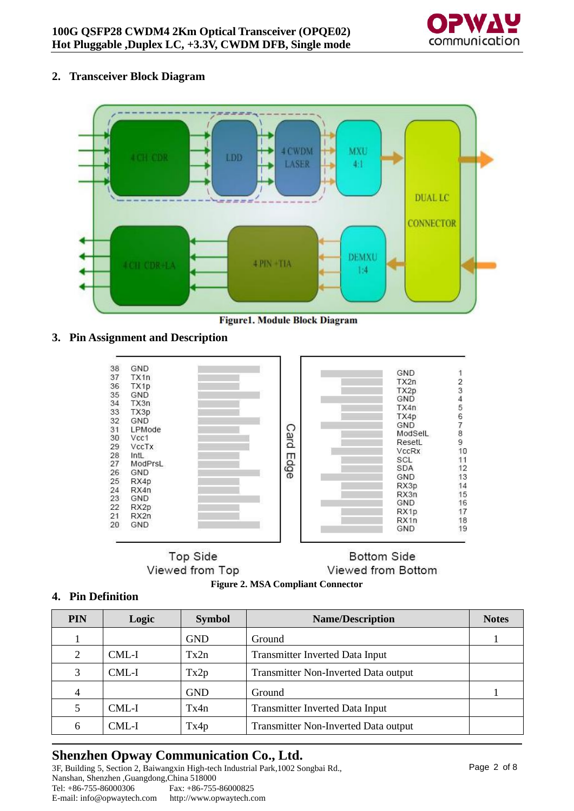

### **2. Transceiver Block Diagram**



**Figure1. Module Block Diagram** 

### **3. Pin Assignment and Description**

| 38 | GND               |             |                   |          |
|----|-------------------|-------------|-------------------|----------|
| 37 | TX <sub>1</sub> n |             | GND               |          |
| 36 | TX1p              |             | TX2n              |          |
| 35 | GND               |             | TX2p              |          |
| 34 | TX3n              |             | GND               |          |
| 33 | TX3p              |             | TX4n              |          |
| 32 | GND               |             | TX4p              | 23456789 |
| 31 | LPMode            |             | GND               |          |
| 30 |                   |             | ModSelL           |          |
|    | Vcc1              | <b>Card</b> | ResetL            |          |
| 29 | VccTx             |             | <b>VccRx</b>      | 10       |
| 28 | IntL              | Edge        | SCL               | 11       |
| 27 | ModPrsL           |             | SDA               | 12       |
| 26 | GND               |             | <b>GND</b>        | 13       |
| 25 | RX4p              |             | RX3p              | 14       |
| 24 | RX4n              |             | RX3n              | 15       |
| 23 | GND               |             | GND               | 16       |
| 22 | RX <sub>2p</sub>  |             | RX <sub>1p</sub>  | 17       |
| 21 | RX2n              |             | RX <sub>1</sub> n | 18       |
| 20 | GND               |             | GND               | 19       |

**Top Side** Viewed from Top

# **Bottom Side** Viewed from Bottom



### **4. Pin Definition**

| <b>PIN</b> | Logic | <b>Symbol</b> | <b>Name/Description</b>              | <b>Notes</b> |
|------------|-------|---------------|--------------------------------------|--------------|
|            |       | <b>GND</b>    | Ground                               |              |
| 2          | CML-I | Tx2n          | Transmitter Inverted Data Input      |              |
| 3          | CML-I | Tx2p          | Transmitter Non-Inverted Data output |              |
| 4          |       | <b>GND</b>    | Ground                               |              |
|            | CML-I | Tx4n          | Transmitter Inverted Data Input      |              |
| 6          | CML-I | Tx4p          | Transmitter Non-Inverted Data output |              |

# **Shenzhen Opway Communication Co., Ltd.**

3F, Building 5, Section 2, Baiwangxin High-tech Industrial Park,1002 Songbai Rd., Nanshan, Shenzhen ,Guangdong,China 518000 Fax: +86-755-86000825<br>http://www.opwaytech.com E-mail: info@opwaytech.com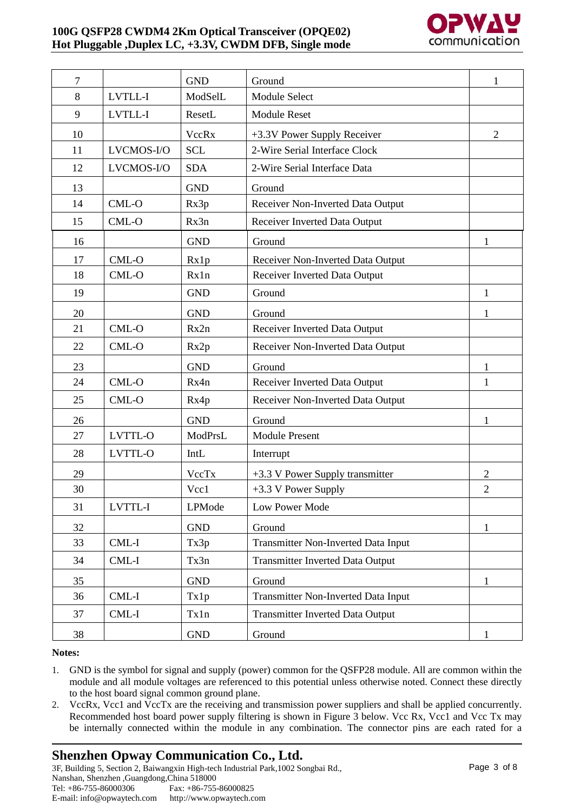### **100G QSFP28 CWDM4 2Km Optical Transceiver (OPQE02) Hot Pluggable ,Duplex LC, +3.3V, CWDM DFB, Single mode**



| $\tau$ |                | <b>GND</b>   | Ground                                     | 1              |
|--------|----------------|--------------|--------------------------------------------|----------------|
| 8      | <b>LVTLL-I</b> | ModSelL      | <b>Module Select</b>                       |                |
| 9      | LVTLL-I        | ResetL       | <b>Module Reset</b>                        |                |
| 10     |                | <b>VccRx</b> | +3.3V Power Supply Receiver                | $\overline{2}$ |
| 11     | LVCMOS-I/O     | <b>SCL</b>   | 2-Wire Serial Interface Clock              |                |
| 12     | LVCMOS-I/O     | <b>SDA</b>   | 2-Wire Serial Interface Data               |                |
| 13     |                | <b>GND</b>   | Ground                                     |                |
| 14     | $CML-O$        | Rx3p         | Receiver Non-Inverted Data Output          |                |
| 15     | CML-O          | Rx3n         | Receiver Inverted Data Output              |                |
| 16     |                | <b>GND</b>   | Ground                                     | 1              |
| 17     | CML-O          | Rx1p         | Receiver Non-Inverted Data Output          |                |
| 18     | CML-O          | Rx1n         | Receiver Inverted Data Output              |                |
| 19     |                | <b>GND</b>   | Ground                                     | $\mathbf{1}$   |
| 20     |                | <b>GND</b>   | Ground                                     | $\mathbf{1}$   |
| 21     | CML-O          | Rx2n         | Receiver Inverted Data Output              |                |
| 22     | CML-O          | Rx2p         | Receiver Non-Inverted Data Output          |                |
| 23     |                | <b>GND</b>   | Ground                                     | 1              |
| 24     | CML-O          | Rx4n         | Receiver Inverted Data Output              | $\mathbf{1}$   |
| 25     | CML-O          | Rx4p         | Receiver Non-Inverted Data Output          |                |
| 26     |                | <b>GND</b>   | Ground                                     | 1              |
| 27     | <b>LVTTL-O</b> | ModPrsL      | <b>Module Present</b>                      |                |
| 28     | LVTTL-O        | IntL         | Interrupt                                  |                |
| 29     |                | VccTx        | +3.3 V Power Supply transmitter            | $\overline{2}$ |
| 30     |                | Vcc1         | $+3.3$ V Power Supply                      | $\overline{2}$ |
| 31     | LVTTL-I        | LPMode       | Low Power Mode                             |                |
| 32     |                | <b>GND</b>   | Ground                                     | $\mathbf{1}$   |
| 33     | CML-I          | Tx3p         | Transmitter Non-Inverted Data Input        |                |
| 34     | CML-I          | Tx3n         | <b>Transmitter Inverted Data Output</b>    |                |
| 35     |                | <b>GND</b>   | Ground                                     | $\mathbf{1}$   |
| 36     | CML-I          | Tx1p         | <b>Transmitter Non-Inverted Data Input</b> |                |
| 37     | CML-I          | Tx1n         | <b>Transmitter Inverted Data Output</b>    |                |
| 38     |                | <b>GND</b>   | Ground                                     | $\mathbf{1}$   |

#### **Notes:**

- 1. GND is the symbol for signal and supply (power) common for the QSFP28 module. All are common within the module and all module voltages are referenced to this potential unless otherwise noted. Connect these directly to the host board signal common ground plane.
- 2. VccRx, Vcc1 and VccTx are the receiving and transmission power suppliers and shall be applied concurrently. Recommended host board power supply filtering is shown in Figure 3 below. Vcc Rx, Vcc1 and Vcc Tx may be internally connected within the module in any combination. The connector pins are each rated for a

# **Shenzhen Opway Communication Co., Ltd.**

3F, Building 5, Section 2, Baiwangxin High-tech Industrial Park,1002 Songbai Rd., Nanshan, Shenzhen ,Guangdong,China 518000 Fax: +86-755-86000825 E-mail: info@opwaytech.com http://www.opwaytech.com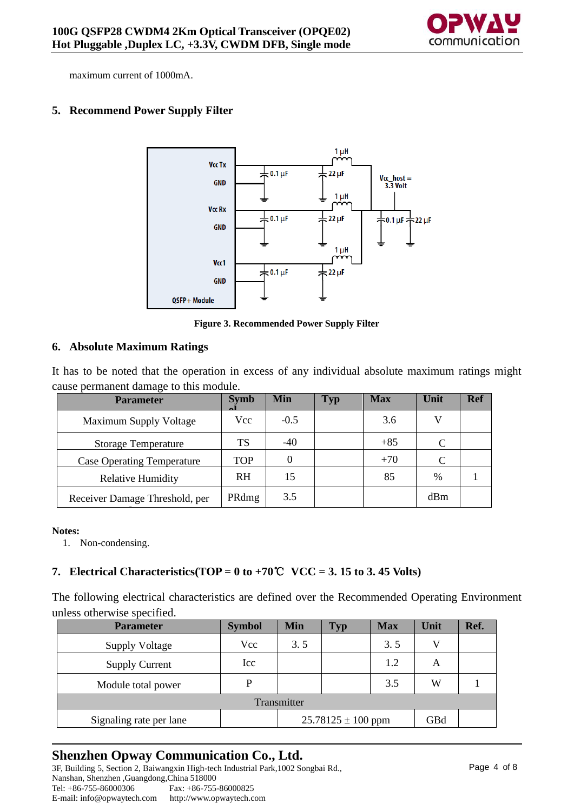

maximum current of 1000mA.

### **5. Recommend Power Supply Filter**



**Figure 3. Recommended Power Supply Filter**

### **6. Absolute Maximum Ratings**

It has to be noted that the operation in excess of any individual absolute maximum ratings might cause permanent damage to this module.

| <b>Parameter</b>                  | <b>Symb</b> | Min    | <b>Typ</b> | <b>Max</b> | Unit          | <b>Ref</b> |
|-----------------------------------|-------------|--------|------------|------------|---------------|------------|
| Maximum Supply Voltage            | <b>Vcc</b>  | $-0.5$ |            | 3.6        |               |            |
| <b>Storage Temperature</b>        | TS          | $-40$  |            | $+85$      | C             |            |
| <b>Case Operating Temperature</b> | <b>TOP</b>  |        |            | $+70$      | C             |            |
| <b>Relative Humidity</b>          | <b>RH</b>   | 15     |            | 85         | $\frac{0}{0}$ |            |
| Receiver Damage Threshold, per    | PRdmg       | 3.5    |            |            | dBm           |            |

#### **Notes:**

1. Non-condensing.

### **7. Electrical Characteristics(TOP = 0 to +70<sup>°</sup>C**  $VCC = 3.15$  **to 3.45 Volts)**

The following electrical characteristics are defined over the Recommended Operating Environment unless otherwise specified.

| <b>Parameter</b>        | <b>Symbol</b> | <b>Min</b>                    | <b>Typ</b> | <b>Max</b> | Unit | Ref. |  |
|-------------------------|---------------|-------------------------------|------------|------------|------|------|--|
| <b>Supply Voltage</b>   | Vcc           | 3.5                           |            | 3.5        |      |      |  |
| <b>Supply Current</b>   | Icc           |                               |            | 1.2        | A    |      |  |
| Module total power      | D             |                               |            | 3.5        | W    |      |  |
| Transmitter             |               |                               |            |            |      |      |  |
| Signaling rate per lane |               | $25.78125 \pm 100$ ppm<br>GBd |            |            |      |      |  |

# **Shenzhen Opway Communication Co., Ltd.**

3F, Building 5, Section 2, Baiwangxin High-tech Industrial Park,1002 Songbai Rd., Nanshan, Shenzhen ,Guangdong,China 518000<br>Tel: +86-755-86000306 Fax: +86-755 Fax: +86-755-86000825 E-mail: info@opwaytech.com http://www.opwaytech.com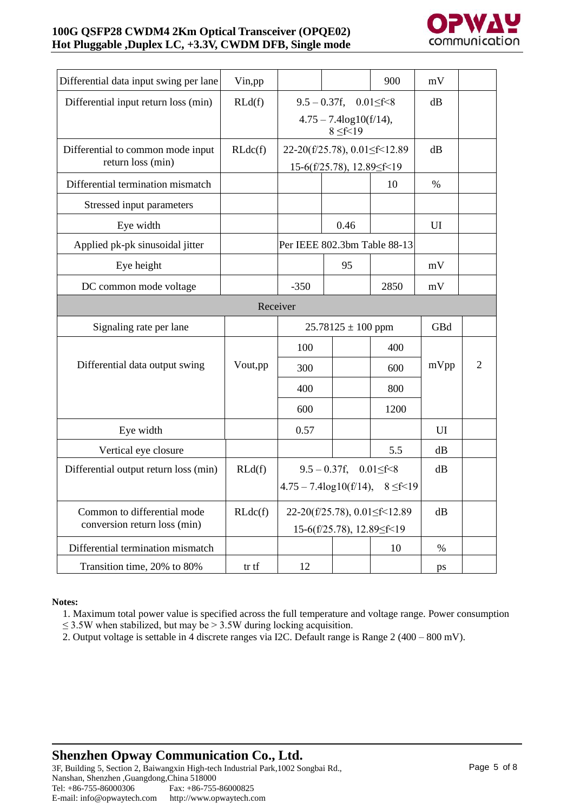### **100G QSFP28 CWDM4 2Km Optical Transceiver (OPQE02) Hot Pluggable ,Duplex LC, +3.3V, CWDM DFB, Single mode**



| Differential data input swing per lane                 | Vin, pp  |                                   |                                                                 | 900            | mV   |                |
|--------------------------------------------------------|----------|-----------------------------------|-----------------------------------------------------------------|----------------|------|----------------|
| Differential input return loss (min)                   | RLd(f)   |                                   | $9.5 - 0.37f$ , $0.01 \le f < 8$                                |                | dB   |                |
|                                                        |          |                                   | $4.75 - 7.4 \log 10(f/14),$<br>$8 \le f < 19$                   |                |      |                |
| Differential to common mode input<br>return loss (min) | RLdc(f)  |                                   | 22-20(f/25.78), 0.01 \f < 12.89<br>15-6(f/25.78), 12.89 \f < 19 |                | dB   |                |
| Differential termination mismatch                      |          |                                   |                                                                 | 10             | $\%$ |                |
| Stressed input parameters                              |          |                                   |                                                                 |                |      |                |
| Eye width                                              |          |                                   | 0.46                                                            |                | UI   |                |
| Applied pk-pk sinusoidal jitter                        |          |                                   | Per IEEE 802.3bm Table 88-13                                    |                |      |                |
| Eye height                                             |          |                                   | 95                                                              |                | mV   |                |
| DC common mode voltage                                 |          | $-350$                            |                                                                 | 2850           | mV   |                |
|                                                        | Receiver |                                   |                                                                 |                |      |                |
| Signaling rate per lane                                |          |                                   | $25.78125 \pm 100$ ppm                                          |                | GBd  |                |
|                                                        |          | 100                               |                                                                 | 400            |      |                |
| Differential data output swing                         | Vout, pp | 300                               |                                                                 | 600            | mVpp | $\overline{2}$ |
|                                                        |          | 400                               |                                                                 | 800            |      |                |
|                                                        |          | 600                               |                                                                 | 1200           |      |                |
| Eye width                                              |          | 0.57                              |                                                                 |                | UI   |                |
| Vertical eye closure                                   |          |                                   |                                                                 | 5.5            | dB   |                |
| Differential output return loss (min)                  | RLd(f)   | $9.5 - 0.37f$ , $0.01 \leq f < 8$ |                                                                 |                | dB   |                |
|                                                        |          |                                   | $4.75 - 7.4 \log 10(f/14)$ ,                                    | $8 \le f < 19$ |      |                |
| Common to differential mode<br>RLdc(f)                 |          | 22-20(f/25.78), 0.01 f < 12.89    |                                                                 |                | dB   |                |
| conversion return loss (min)                           |          | 15-6(f/25.78), 12.89 \f < 19      |                                                                 |                |      |                |
| Differential termination mismatch                      |          |                                   |                                                                 | 10             | $\%$ |                |
| Transition time, 20% to 80%                            | tr tf    | 12                                |                                                                 |                | ps   |                |

#### **Notes:**

1. Maximum total power value is specified across the full temperature and voltage range. Power consumption  $\leq$  3.5W when stabilized, but may be > 3.5W during locking acquisition.

2. Output voltage is settable in 4 discrete ranges via I2C. Default range is Range 2 (400 – 800 mV).

# **Shenzhen Opway Communication Co., Ltd.**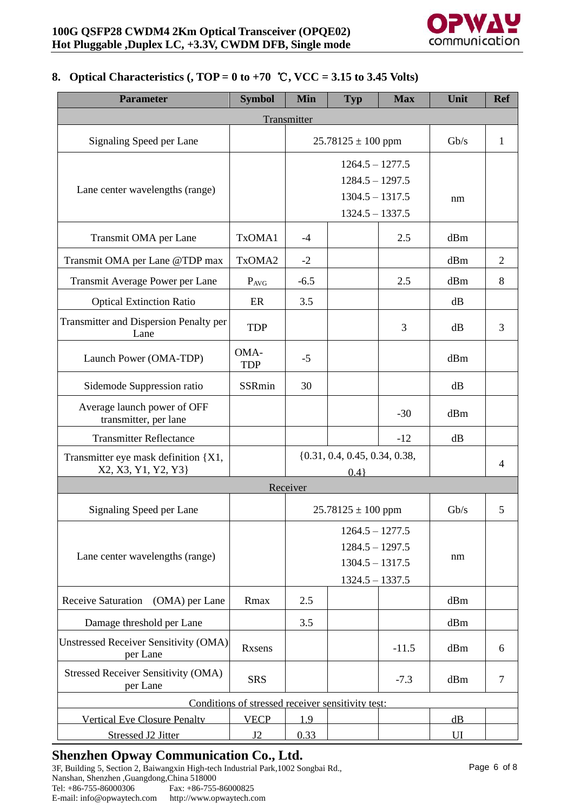

### **8. Optical Characteristics (, TOP = 0 to +70** ℃**, VCC = 3.15 to 3.45 Volts)**

| <b>Parameter</b>                                            | <b>Symbol</b>                                     | <b>Min</b>                                                                       | <b>Typ</b>             | <b>Max</b> | Unit | <b>Ref</b>     |
|-------------------------------------------------------------|---------------------------------------------------|----------------------------------------------------------------------------------|------------------------|------------|------|----------------|
|                                                             |                                                   | Transmitter                                                                      |                        |            |      |                |
| Signaling Speed per Lane                                    |                                                   |                                                                                  | $25.78125 \pm 100$ ppm |            | Gb/s | 1              |
| Lane center wavelengths (range)                             |                                                   | $1264.5 - 1277.5$<br>$1284.5 - 1297.5$<br>$1304.5 - 1317.5$<br>$1324.5 - 1337.5$ |                        |            | nm   |                |
| Transmit OMA per Lane                                       | TxOMA1                                            | $-4$                                                                             |                        | 2.5        | dBm  |                |
| Transmit OMA per Lane @TDP max                              | TxOMA2                                            | $-2$                                                                             |                        |            | dBm  | $\overline{2}$ |
| Transmit Average Power per Lane                             | $P_{AVG}$                                         | $-6.5$                                                                           |                        | 2.5        | dBm  | 8              |
| <b>Optical Extinction Ratio</b>                             | ER                                                | 3.5                                                                              |                        |            | dB   |                |
| <b>Transmitter and Dispersion Penalty per</b><br>Lane       | <b>TDP</b>                                        |                                                                                  |                        | 3          | dB   | 3              |
| Launch Power (OMA-TDP)                                      | OMA-<br><b>TDP</b>                                | $-5$                                                                             |                        |            | dBm  |                |
| Sidemode Suppression ratio                                  | <b>SSRmin</b>                                     | 30                                                                               |                        |            | dB   |                |
| Average launch power of OFF<br>transmitter, per lane        |                                                   |                                                                                  |                        | $-30$      | dBm  |                |
| <b>Transmitter Reflectance</b>                              |                                                   |                                                                                  |                        | $-12$      | dB   |                |
| Transmitter eye mask definition {X1,<br>X2, X3, Y1, Y2, Y3} |                                                   | $\{0.31, 0.4, 0.45, 0.34, 0.38,$<br>0.4                                          |                        |            |      | 4              |
|                                                             |                                                   | Receiver                                                                         |                        |            |      |                |
| Signaling Speed per Lane                                    |                                                   |                                                                                  | $25.78125 \pm 100$ ppm |            | Gb/s | 5              |
| Lane center wavelengths (range)                             |                                                   | $1264.5 - 1277.5$<br>$1284.5 - 1297.5$<br>$1304.5 - 1317.5$<br>$1324.5 - 1337.5$ |                        |            | nm   |                |
| <b>Receive Saturation</b><br>(OMA) per Lane                 | Rmax                                              | 2.5                                                                              |                        |            | dBm  |                |
| Damage threshold per Lane                                   |                                                   | 3.5                                                                              |                        |            | dBm  |                |
| <b>Unstressed Receiver Sensitivity (OMA)</b><br>per Lane    | <b>Rxsens</b>                                     |                                                                                  |                        | $-11.5$    | dBm  | 6              |
| <b>Stressed Receiver Sensitivity (OMA)</b><br>per Lane      | <b>SRS</b>                                        |                                                                                  |                        | $-7.3$     | dBm  | 7              |
|                                                             | Conditions of stressed receiver sensitivity test: |                                                                                  |                        |            |      |                |
| <b>Vertical Eye Closure Penalty</b>                         | <b>VECP</b>                                       | 1.9                                                                              |                        |            | dB   |                |
| Stressed J2 Jitter                                          | J2                                                | 0.33                                                                             |                        |            | UI   |                |

# **Shenzhen Opway Communication Co., Ltd.**

3F, Building 5, Section 2, Baiwangxin High-tech Industrial Park,1002 Songbai Rd., Nanshan, Shenzhen ,Guangdong,China 518000<br>Tel: +86-755-86000306<br>Fax: +86-755-86000825 Tel: +86-755-86000306<br>
E-mail: info@opwaytech.com http://www.opwaytech.com E-mail: info@opwaytech.com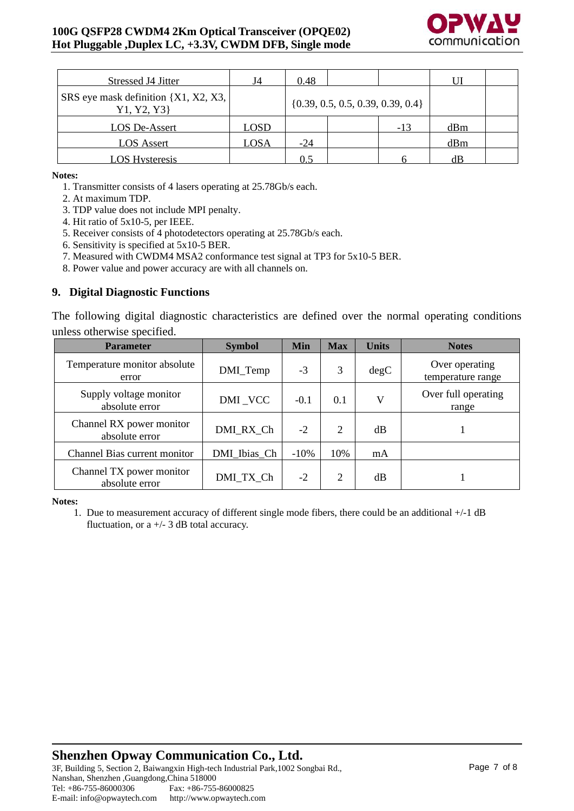

| Stressed J4 Jitter                                    | J4          | 0.48  |                                       |       |     |  |
|-------------------------------------------------------|-------------|-------|---------------------------------------|-------|-----|--|
| SRS eye mask definition {X1, X2, X3, }<br>Y1, Y2, Y3} |             |       | $\{0.39, 0.5, 0.5, 0.39, 0.39, 0.4\}$ |       |     |  |
| LOS De-Assert                                         | <b>LOSD</b> |       |                                       | $-13$ | dBm |  |
| <b>LOS Assert</b>                                     | LOSA        | $-24$ |                                       |       | dBm |  |
| <b>LOS Hysteresis</b>                                 |             | 0.5   |                                       |       | dB  |  |

**Notes:**

1. Transmitter consists of 4 lasers operating at 25.78Gb/s each.

2. At maximum TDP.

- 3. TDP value does not include MPI penalty.
- 4. Hit ratio of 5x10-5, per IEEE.
- 5. Receiver consists of 4 photodetectors operating at 25.78Gb/s each.

6. Sensitivity is specified at 5x10-5 BER.

7. Measured with CWDM4 MSA2 conformance test signal at TP3 for 5x10-5 BER.

8. Power value and power accuracy are with all channels on.

### **9. Digital Diagnostic Functions**

The following digital diagnostic characteristics are defined over the normal operating conditions unless otherwise specified.

| <b>Parameter</b>                           | <b>Symbol</b> | <b>Min</b> | <b>Max</b> | <b>Units</b> | <b>Notes</b>                        |
|--------------------------------------------|---------------|------------|------------|--------------|-------------------------------------|
| Temperature monitor absolute<br>error      | DMI_Temp      | $-3$       | 3          | degC         | Over operating<br>temperature range |
| Supply voltage monitor<br>absolute error   | DMI_VCC       | $-0.1$     | 0.1        | V            | Over full operating<br>range        |
| Channel RX power monitor<br>absolute error | DMI RX Ch     | $-2$       | 2          | dB           |                                     |
| Channel Bias current monitor               | DMI_Ibias_Ch  | $-10%$     | 10%        | mA           |                                     |
| Channel TX power monitor<br>absolute error | DMI TX Ch     | $-2$       | 2          | dB           |                                     |

**Notes:**

1. Due to measurement accuracy of different single mode fibers, there could be an additional +/-1 dB fluctuation, or  $a +/- 3$  dB total accuracy.